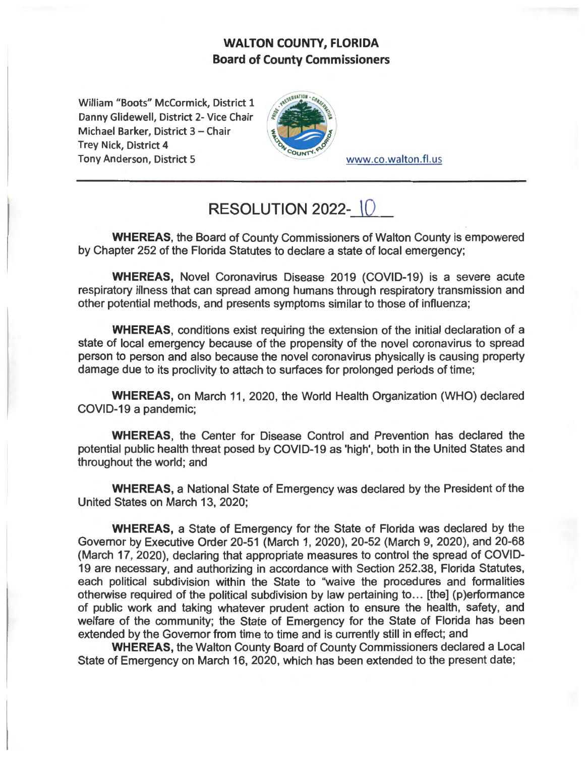## **WALTON COUNTY, FLORIDA Board of County Commissioners**

William "Boots" McCormick, District 1 Danny Glidewell, District 2- Vice Chair Michael Barker, District 3 - Chair Trey Nick, District 4 Tony Anderson, District 5 www.co.walton.fl.us



## **RESOLUTION 2022-10**

**WHEREAS,** the Board of County Commissioners of Walton County is empowered by Chapter 252 of the Florida Statutes to declare a state of local emergency;

**WHEREAS,** Novel Coronavirus Disease 2019 (COVID-19) is a severe acute respiratory illness that can spread among humans through respiratory transmission and other potential methods, and presents symptoms similar to those of influenza;

**WHEREAS,** conditions exist requiring the extension of the initial declaration of a state of local emergency because of the propensity of the novel coronavirus to spread person to person and also because the novel coronavirus physically is causing property damage due to its proclivity to attach to surfaces for prolonged periods of time;

**WHEREAS,** on March 11, 2020, the World Health Organization (WHO) declared COVID-19 a pandemic;

**WHEREAS,** the Center for Disease Control and Prevention has declared the potential public health threat posed by COVID-19 as 'high', both in the United States and throughout the world; and

**WHEREAS,** a National State of Emergency was declared by the President of the United States on March 13, 2020;

**WHEREAS,** a State of Emergency for the State of Florida was declared by the Governor by Executive Order 20-51 (March 1, 2020), 20-52 (March 9, 2020), and 20-68 (March 17, 2020), declaring that appropriate measures to control the spread of COVID-19 are necessary, and authorizing in accordance with Section 252.38, Florida Statutes, each political subdivision within the State to "waive the procedures and formalities otherwise required of the political subdivision by law pertaining to ... [the] (p)erformance of public work and taking whatever prudent action to ensure the health, safety, and welfare of the community; the State of Emergency for the State of Florida has been extended by the Governor from time to time and is currently still in effect; and

**WHEREAS,** the Walton County Board of County Commissioners declared a Local State of Emergency on March 16, 2020, which has been extended to the present date;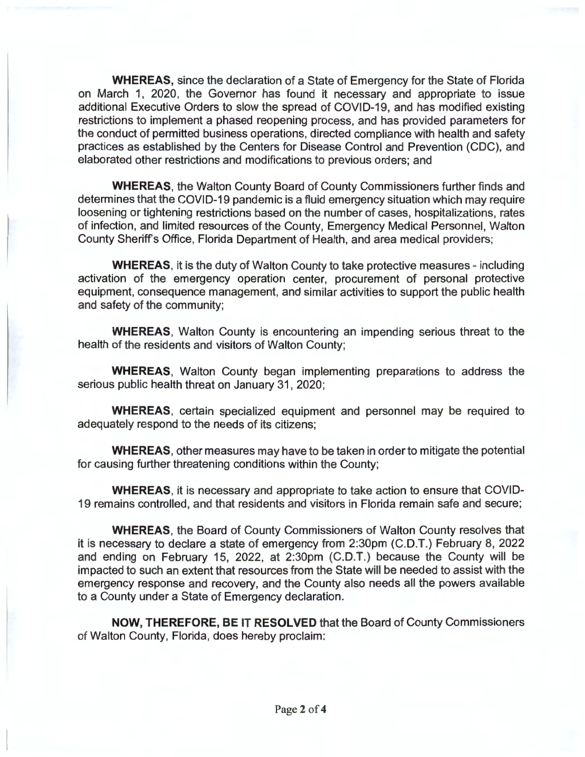**WHEREAS,** since the declaration of a State of Emergency for the State of Florida on March 1, 2020, the Governor has found it necessary and appropriate to issue additional Executive Orders to slow the spread of COVID-19, and has modified existing restrictions to implement a phased reopening process, and has provided parameters for the conduct of permitted business operations, directed compliance with health and safety practices as established by the Centers for Disease Control and Prevention (CDC), and elaborated other restrictions and modifications to previous orders; and

**WHEREAS,** the Walton County Board of County Commissioners further finds and determines that the COVID-19 pandemic is a fluid emergency situation which may require loosening or tightening restrictions based on the number of cases, hospitalizations, rates of infection, and limited resources of the County, Emergency Medical Personnel, Walton County Sheriffs Office, Florida Department of Health, and area medical providers;

**WHEREAS,** it is the duty of Walton County to take protective measures - including activation of the emergency operation center, procurement of personal protective equipment, consequence management, and similar activities to support the public health and safety of the community;

**WHEREAS,** Walton County is encountering an impending serious threat to the health of the residents and visitors of Walton County;

**WHEREAS,** Walton County began implementing preparations to address the serious public health threat on January 31, 2020;

**WHEREAS,** certain specialized equipment and personnel may be required to adequately respond to the needs of its citizens;

**WHEREAS,** other measures may have to be taken in order to mitigate the potential for causing further threatening conditions within the County;

**WHEREAS,** it is necessary and appropriate to take action to ensure that COVID-19 remains controlled, and that residents and visitors in Florida remain safe and secure;

**WHEREAS,** the Board of County Commissioners of Walton County resolves that it is necessary to declare a state of emergency from 2:30pm (C.D.T.) February 8, 2022 and ending on February 15, 2022, at 2:30pm (C.D.T.) because the County will be impacted to such an extent that resources from the State will be needed to assist with the emergency response and recovery, and the County also needs all the powers available to a County under a State of Emergency declaration.

**NOW, THEREFORE, BE IT RESOLVED** that the Board of County Commissioners of Walton County, Florida, does hereby proclaim: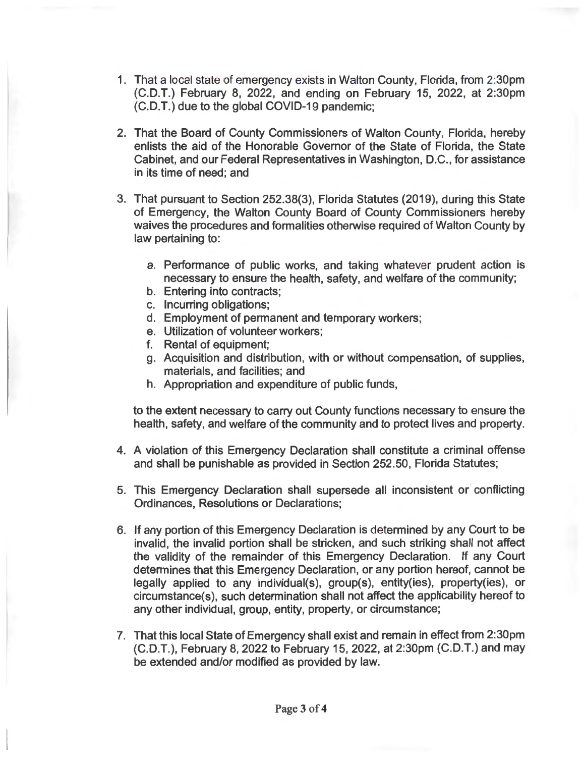- 1. That a local state of emergency exists in Walton County, Florida, from 2:30pm (C.D.T.) February 8, 2022, and ending on February 15, 2022, at 2:30pm (C.D.T.) due to the global COVID-19 pandemic;
- 2. That the Board of County Commissioners of Walton County, Florida, hereby enlists the aid of the Honorable Governor of the State of Florida, the State Cabinet, and our Federal Representatives in Washington, D.C., for assistance in its time of need; and
- 3. That pursuant to Section 252.38(3), Florida Statutes (2019), during this State of Emergency, the Walton County Board of County Commissioners hereby waives the procedures and formalities otherwise required of Walton County by law pertaining to:
	- a. Performance of public works, and taking whatever prudent action is necessary to ensure the health, safety, and welfare of the community;
	- b. Entering into contracts;
	- c. Incurring obligations;
	- d. Employment of permanent and temporary workers;
	- e. Utilization of volunteer workers;
	- f. Rental of equipment;
	- g. Acquisition and distribution, with or without compensation, of supplies, materials, and facilities; and
	- h. Appropriation and expenditure of public funds,

to the extent necessary to carry out County functions necessary to ensure the health, safety, and welfare of the community and to protect lives and property.

- 4. A violation of this Emergency Declaration shall constitute a criminal offense and shall be punishable as provided in Section 252.50, Florida Statutes;
- 5. This Emergency Declaration shall supersede all inconsistent or conflicting Ordinances, Resolutions or Declarations;
- 6. If any portion of this Emergency Declaration is determined by any Court to be invalid, the invalid portion shall be stricken, and such striking shall not affect the validity of the remainder of this Emergency Declaration. If any Court determines that this Emergency Declaration, or any portion hereof, cannot be legally applied to any individual(s), group(s), entity(ies), property(ies), or circumstance(s), such determination shall not affect the applicability hereof to any other individual, group, entity, property, or circumstance;
- 7. That this local State of Emergency shall exist and remain in effect from 2:30pm (C.D.T.), February 8, 2022 to February 15, 2022, at 2:30pm (C.D.T.) and may be extended and/or modified as provided by law.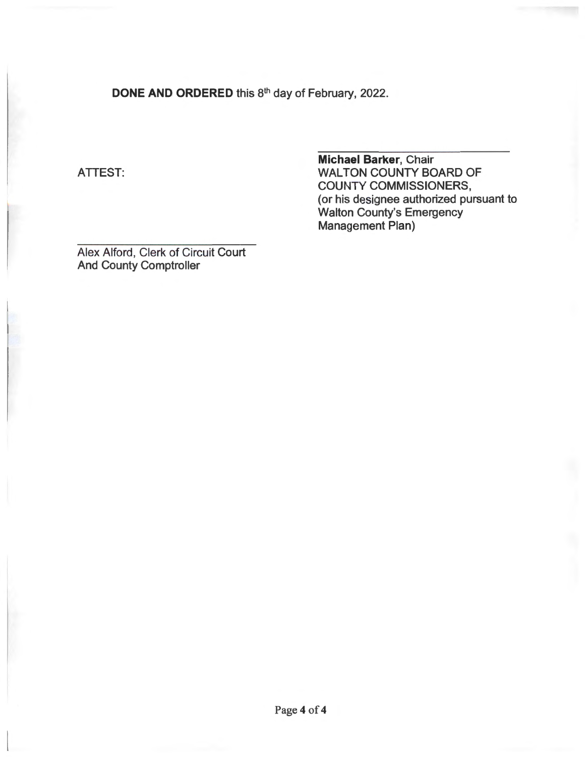**DONE AND ORDERED** this 8<sup>th</sup> day of February, 2022.

## ATTEST:

**Michael Barker,** Chair WALTON COUNTY BOARD OF COUNTY COMMISSIONERS, (or his designee authorized pursuant to Walton County's Emergency Management Plan)

Alex Alford, Clerk of Circuit Court And County Comptroller